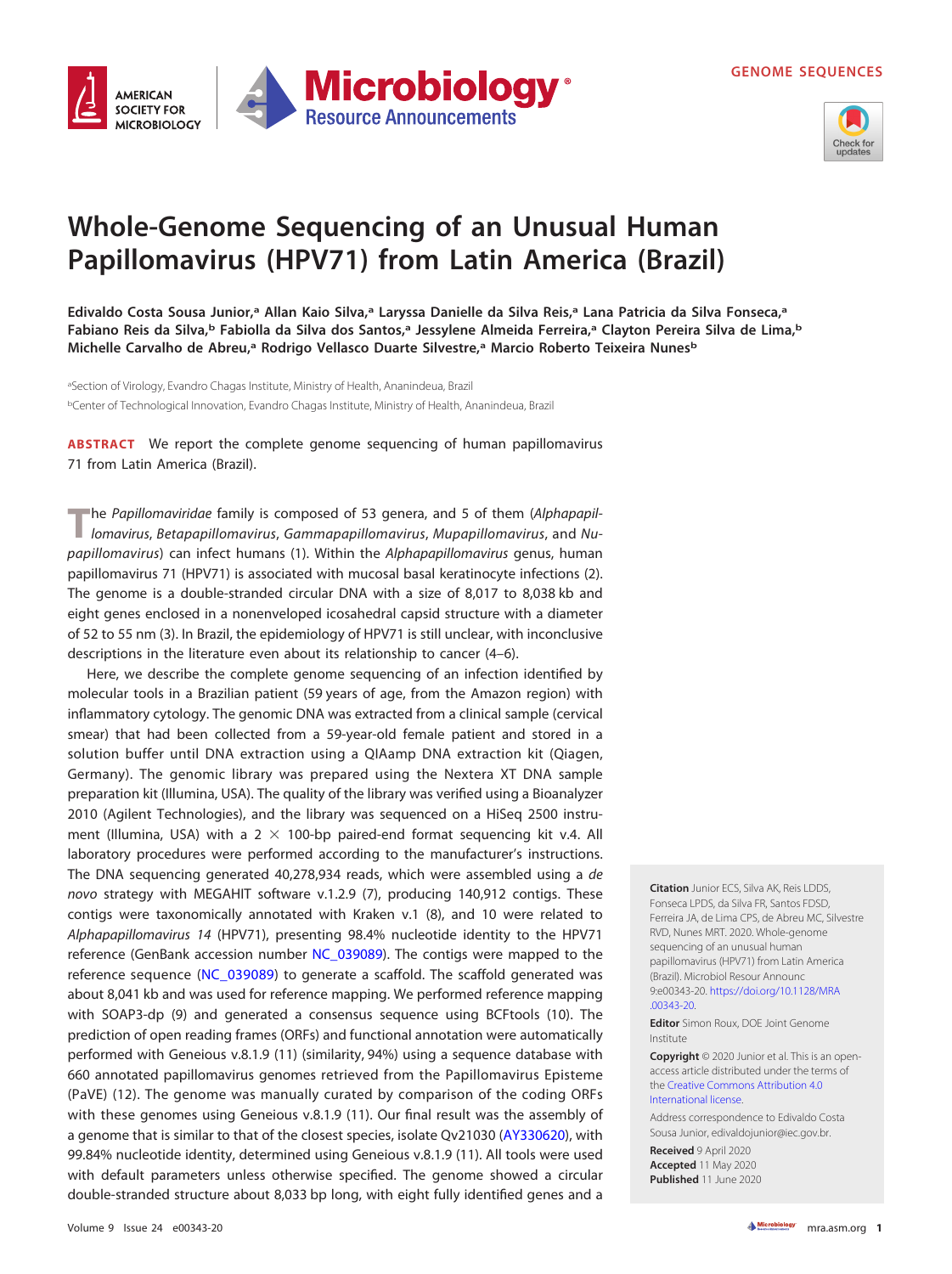**GENOME SEQUENCES**





## **Whole-Genome Sequencing of an Unusual Human Papillomavirus (HPV71) from Latin America (Brazil)**

**Edivaldo Costa Sousa Junior,a Allan Kaio Silva,a Laryssa Danielle da Silva Reis,a Lana Patricia da Silva Fonseca,a Fabiano Reis da Silva,b Fabiolla da Silva dos Santos,a Jessylene Almeida Ferreira,a Clayton Pereira Silva de Lima,b Michelle Carvalho de Abreu,a Rodrigo Vellasco Duarte Silvestre,a Marcio Roberto Teixeira Nunesb**

<sup>a</sup>Section of Virology, Evandro Chagas Institute, Ministry of Health, Ananindeua, Brazil <sup>b</sup>Center of Technological Innovation, Evandro Chagas Institute, Ministry of Health, Ananindeua, Brazil

**ABSTRACT** We report the complete genome sequencing of human papillomavirus 71 from Latin America (Brazil).

The Papillomaviridae family is composed of 53 genera, and 5 of them (Alphapapillomavirus, Betapapillomavirus, Gammapapillomavirus, Mupapillomavirus, and Nu-papillomavirus) can infect humans [\(1\)](#page-1-0). Within the Alphapapillomavirus genus, human papillomavirus 71 (HPV71) is associated with mucosal basal keratinocyte infections [\(2\)](#page-1-1). The genome is a double-stranded circular DNA with a size of 8,017 to 8,038 kb and eight genes enclosed in a nonenveloped icosahedral capsid structure with a diameter of 52 to 55 nm [\(3\)](#page-1-2). In Brazil, the epidemiology of HPV71 is still unclear, with inconclusive descriptions in the literature even about its relationship to cancer [\(4](#page-1-3)[–](#page-1-4)[6\)](#page-1-5).

Here, we describe the complete genome sequencing of an infection identified by molecular tools in a Brazilian patient (59 years of age, from the Amazon region) with inflammatory cytology. The genomic DNA was extracted from a clinical sample (cervical smear) that had been collected from a 59-year-old female patient and stored in a solution buffer until DNA extraction using a QIAamp DNA extraction kit (Qiagen, Germany). The genomic library was prepared using the Nextera XT DNA sample preparation kit (Illumina, USA). The quality of the library was verified using a Bioanalyzer 2010 (Agilent Technologies), and the library was sequenced on a HiSeq 2500 instrument (Illumina, USA) with a  $2 \times 100$ -bp paired-end format sequencing kit v.4. All laboratory procedures were performed according to the manufacturer's instructions. The DNA sequencing generated 40,278,934 reads, which were assembled using a de novo strategy with MEGAHIT software v.1.2.9 [\(7\)](#page-1-6), producing 140,912 contigs. These contigs were taxonomically annotated with Kraken v.1 [\(8\)](#page-1-7), and 10 were related to Alphapapillomavirus 14 (HPV71), presenting 98.4% nucleotide identity to the HPV71 reference (GenBank accession number [NC\\_039089\)](https://www.ncbi.nlm.nih.gov/nuccore/NC_039089). The contigs were mapped to the reference sequence [\(NC\\_039089\)](https://www.ncbi.nlm.nih.gov/nuccore/NC_039089) to generate a scaffold. The scaffold generated was about 8,041 kb and was used for reference mapping. We performed reference mapping with SOAP3-dp [\(9\)](#page-1-8) and generated a consensus sequence using BCFtools [\(10\)](#page-1-9). The prediction of open reading frames (ORFs) and functional annotation were automatically performed with Geneious v.8.1.9 [\(11\)](#page-1-10) (similarity, 94%) using a sequence database with 660 annotated papillomavirus genomes retrieved from the Papillomavirus Episteme (PaVE) [\(12\)](#page-1-11). The genome was manually curated by comparison of the coding ORFs with these genomes using Geneious v.8.1.9 [\(11\)](#page-1-10). Our final result was the assembly of a genome that is similar to that of the closest species, isolate Qv21030 [\(AY330620\)](https://www.ncbi.nlm.nih.gov/nuccore/AY330620), with 99.84% nucleotide identity, determined using Geneious v.8.1.9 [\(11\)](#page-1-10). All tools were used with default parameters unless otherwise specified. The genome showed a circular double-stranded structure about 8,033 bp long, with eight fully identified genes and a

**Citation** Junior ECS, Silva AK, Reis LDDS, Fonseca LPDS, da Silva FR, Santos FDSD, Ferreira JA, de Lima CPS, de Abreu MC, Silvestre RVD, Nunes MRT. 2020. Whole-genome sequencing of an unusual human papillomavirus (HPV71) from Latin America (Brazil). Microbiol Resour Announc 9:e00343-20. [https://doi.org/10.1128/MRA](https://doi.org/10.1128/MRA.00343-20) [.00343-20.](https://doi.org/10.1128/MRA.00343-20)

**Editor** Simon Roux, DOE Joint Genome Institute

**Copyright** © 2020 Junior et al. This is an openaccess article distributed under the terms of the [Creative Commons Attribution 4.0](https://creativecommons.org/licenses/by/4.0/) [International license.](https://creativecommons.org/licenses/by/4.0/)

Address correspondence to Edivaldo Costa Sousa Junior, [edivaldojunior@iec.gov.br.](mailto:edivaldojunior@iec.gov.br)

**Received** 9 April 2020 **Accepted** 11 May 2020 **Published** 11 June 2020